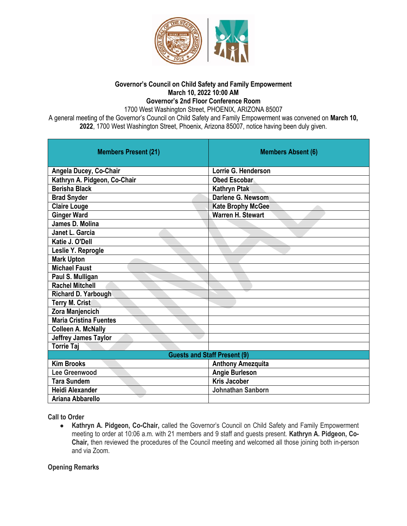

#### **Governor's Council on Child Safety and Family Empowerment March 10, 2022 10:00 AM Governor's 2nd Floor Conference Room**

1700 West Washington Street, PHOENIX, ARIZONA 85007

A general meeting of the Governor's Council on Child Safety and Family Empowerment was convened on **March 10, 2022**, 1700 West Washington Street, Phoenix, Arizona 85007, notice having been duly given.

| <b>Members Present (21)</b>         | <b>Members Absent (6)</b> |
|-------------------------------------|---------------------------|
| Angela Ducey, Co-Chair              | Lorrie G. Henderson       |
| Kathryn A. Pidgeon, Co-Chair        | <b>Obed Escoban</b>       |
| Berisha Black                       | Kathryn Ptak              |
| <b>Brad Snyder</b>                  | Darlene G. Newsom         |
| Claire Louge                        | <b>Kate Brophy McGee</b>  |
| <b>Ginger Ward</b>                  | Warren H. Stewart         |
| James D. Molina                     |                           |
| <b>Janet L. Garcia</b>              |                           |
| Katie J. O'Dell                     |                           |
| Leslie Y. Reprogle                  |                           |
| <b>Mark Upton</b>                   |                           |
| <b>Michael Faust</b>                |                           |
| Paul S. Mulligan                    |                           |
| <b>Rachel Mitchell</b>              |                           |
| Richard D. Yarbough                 |                           |
| Terry M. Crist                      |                           |
| Zora Manjencich                     |                           |
| <b>Maria Cristina Fuentes</b>       |                           |
| <b>Colleen A. McNally</b>           |                           |
| <b>Jeffrey James Taylor</b>         |                           |
| <b>Torrie Taj</b>                   |                           |
| <b>Guests and Staff Present (9)</b> |                           |
| <b>Kim Brooks</b>                   | <b>Anthony Amezquita</b>  |
| Lee Greenwood                       | <b>Angie Burleson</b>     |
| <b>Tara Sundem</b>                  | <b>Kris Jacober</b>       |
| <b>Heidi Alexander</b>              | Johnathan Sanborn         |
| Ariana Abbarello                    |                           |

**Call to Order**

● **Kathryn A. Pidgeon, Co-Chair,** called the Governor's Council on Child Safety and Family Empowerment meeting to order at 10:06 a.m. with 21 members and 9 staff and guests present. **Kathryn A. Pidgeon, Co-Chair,** then reviewed the procedures of the Council meeting and welcomed all those joining both in-person and via Zoom.

### **Opening Remarks**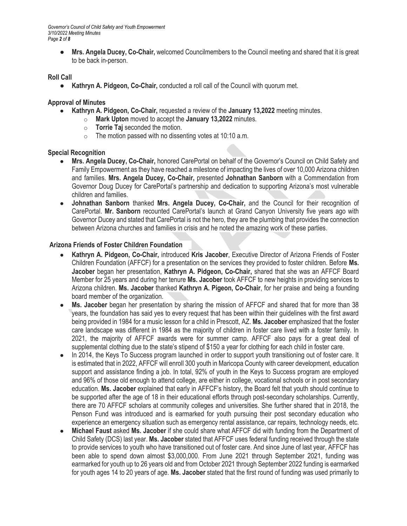*Governor's Council of Child Safety and Youth Empowerment 3/10/2022 Meeting Minutes Page 2 of 8*

> ● **Mrs. Angela Ducey, Co-Chair,** welcomed Councilmembers to the Council meeting and shared that it is great to be back in-person.

### **Roll Call**

● **Kathryn A. Pidgeon, Co-Chair,** conducted a roll call of the Council with quorum met.

### **Approval of Minutes**

- **Kathryn A. Pidgeon, Co-Chair,** requested a review of the **January 13,2022** meeting minutes.
	- o **Mark Upton** moved to accept the **January 13,2022** minutes.
	- o **Torrie Taj** seconded the motion.
	- $\circ$  The motion passed with no dissenting votes at 10:10 a.m.

### **Special Recognition**

- **Mrs. Angela Ducey, Co-Chair,** honored CarePortal on behalf of the Governor's Council on Child Safety and Family Empowerment as they have reached a milestone of impacting the lives of over 10,000 Arizona children and families. **Mrs. Angela Ducey, Co-Chair,** presented **Johnathan Sanborn** with a Commendation from Governor Doug Ducey for CarePortal's partnership and dedication to supporting Arizona's most vulnerable children and families.
- **Johnathan Sanborn** thanked **Mrs. Angela Ducey, Co-Chair,** and the Council for their recognition of CarePortal. **Mr. Sanborn** recounted CarePortal's launch at Grand Canyon University five years ago with Governor Ducey and stated that CarePortal is not the hero, they are the plumbing that provides the connection between Arizona churches and families in crisis and he noted the amazing work of these parties.

## **Arizona Friends of Foster Children Foundation**

- **Kathryn A. Pidgeon, Co-Chair,** introduced **Kris Jacober**, Executive Director of Arizona Friends of Foster Children Foundation (AFFCF) for a presentation on the services they provided to foster children. Before **Ms. Jacober** began her presentation, **Kathryn A. Pidgeon, Co-Chair,** shared that she was an AFFCF Board Member for 25 years and during her tenure **Ms. Jacober** took AFFCF to new heights in providing services to Arizona children. **Ms. Jacober** thanked **Kathryn A. Pigeon, Co-Chair**, for her praise and being a founding board member of the organization.
- **Ms. Jacober** began her presentation by sharing the mission of AFFCF and shared that for more than 38 years, the foundation has said yes to every request that has been within their guidelines with the first award being provided in 1984 for a music lesson for a child in Prescott, AZ. **Ms. Jacober** emphasized that the foster care landscape was different in 1984 as the majority of children in foster care lived with a foster family. In 2021, the majority of AFFCF awards were for summer camp. AFFCF also pays for a great deal of supplemental clothing due to the state's stipend of \$150 a year for clothing for each child in foster care.
- In 2014, the Keys To Success program launched in order to support youth transitioning out of foster care. It is estimated that in 2022, AFFCF will enroll 300 youth in Maricopa County with career development, education support and assistance finding a job. In total, 92% of youth in the Keys to Success program are employed and 96% of those old enough to attend college, are either in college, vocational schools or in post secondary education. **Ms. Jacober** explained that early in AFFCF's history, the Board felt that youth should continue to be supported after the age of 18 in their educational efforts through post-secondary scholarships. Currently, there are 70 AFFCF scholars at community colleges and universities. She further shared that in 2018, the Penson Fund was introduced and is earmarked for youth pursuing their post secondary education who experience an emergency situation such as emergency rental assistance, car repairs, technology needs, etc.
- **Michael Faust** asked **Ms. Jacober** if she could share what AFFCF did with funding from the Department of Child Safety (DCS) last year. **Ms. Jacober** stated that AFFCF uses federal funding received through the state to provide services to youth who have transitioned out of foster care. And since June of last year, AFFCF has been able to spend down almost \$3,000,000. From June 2021 through September 2021, funding was earmarked for youth up to 26 years old and from October 2021 through September 2022 funding is earmarked for youth ages 14 to 20 years of age. **Ms. Jacober** stated that the first round of funding was used primarily to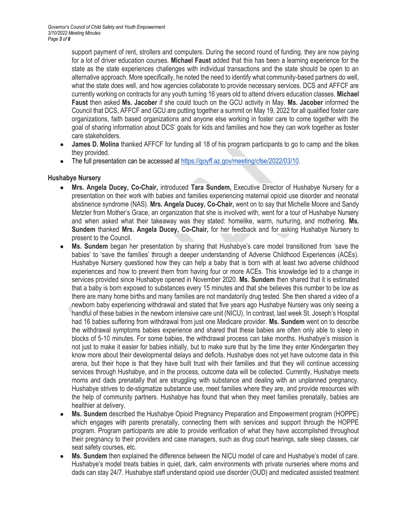support payment of rent, strollers and computers. During the second round of funding, they are now paying for a lot of driver education courses. **Michael Faust** added that this has been a learning experience for the state as the state experiences challenges with individual transactions and the state should be open to an alternative approach. More specifically, he noted the need to identify what community-based partners do well, what the state does well, and how agencies collaborate to provide necessary services. DCS and AFFCF are currently working on contracts for any youth turning 16 years old to attend drivers education classes. **Michael Faust** then asked **Ms. Jacober** if she could touch on the GCU activity in May. **Ms. Jacober** informed the Council that DCS, AFFCF and GCU are putting together a summit on May 19, 2022 for all qualified foster care organizations, faith based organizations and anyone else working in foster care to come together with the goal of sharing information about DCS' goals for kids and families and how they can work together as foster care stakeholders.

- **James D. Molina** thanked AFFCF for funding all 18 of his program participants to go to camp and the bikes they provided.
- The full presentation can be accessed a[t https://goyff.az.gov/meeting/cfse/2022/03/10.](https://goyff.az.gov/meeting/cfse/2022/03/10)

### **Hushabye Nursery**

- **Mrs. Angela Ducey, Co-Chair,** introduced **Tara Sundem,** Executive Director of Hushabye Nursery for a presentation on their work with babies and families experiencing maternal opioid use disorder and neonatal abstinence syndrome (NAS). **Mrs. Angela Ducey, Co-Chair,** went on to say that Michelle Moore and Sandy Metzler from Mother's Grace, an organization that she is involved with, went for a tour of Hushabye Nursery and when asked what their takeaway was they stated: homelike, warm, nurturing, and mothering. **Ms. Sundem** thanked **Mrs. Angela Ducey, Co-Chair,** for her feedback and for asking Hushabye Nursery to present to the Council.
- **Ms. Sundem** began her presentation by sharing that Hushabye's care model transitioned from 'save the babies' to 'save the families' through a deeper understanding of Adverse Childhood Experiences (ACEs). Hushabye Nursery questioned how they can help a baby that is born with at least two adverse childhood experiences and how to prevent them from having four or more ACEs. This knowledge led to a change in services provided since Hushabye opened in November 2020. **Ms. Sundem** then shared that it is estimated that a baby is born exposed to substances every 15 minutes and that she believes this number to be low as there are many home births and many families are not mandatorily drug tested. She then shared a video of a newborn baby experiencing withdrawal and stated that five years ago Hushabye Nursery was only seeing a handful of these babies in the newborn intensive care unit (NICU). In contrast, last week St. Joseph's Hospital had 16 babies suffering from withdrawal from just one Medicare provider. **Ms. Sundem** went on to describe the withdrawal symptoms babies experience and shared that these babies are often only able to sleep in blocks of 5-10 minutes. For some babies, the withdrawal process can take months. Hushabye's mission is not just to make it easier for babies initially, but to make sure that by the time they enter Kindergarten they know more about their developmental delays and deficits. Hushabye does not yet have outcome data in this arena, but their hope is that they have built trust with their families and that they will continue accessing services through Hushabye, and in the process, outcome data will be collected. Currently, Hushabye meets moms and dads prenatally that are struggling with substance and dealing with an unplanned pregnancy. Hushabye strives to de-stigmatize substance use, meet families where they are, and provide resources with the help of community partners. Hushabye has found that when they meet families prenatally, babies are healthier at delivery.
- **Ms. Sundem** described the Hushabye Opioid Pregnancy Preparation and Empowerment program (HOPPE) which engages with parents prenatally, connecting them with services and support through the HOPPE program. Program participants are able to provide verification of what they have accomplished throughout their pregnancy to their providers and case managers, such as drug court hearings, safe sleep classes, car seat safety courses, etc.
- **Ms. Sundem** then explained the difference between the NICU model of care and Hushabye's model of care. Hushabye's model treats babies in quiet, dark, calm environments with private nurseries where moms and dads can stay 24/7. Hushabye staff understand opioid use disorder (OUD) and medicated assisted treatment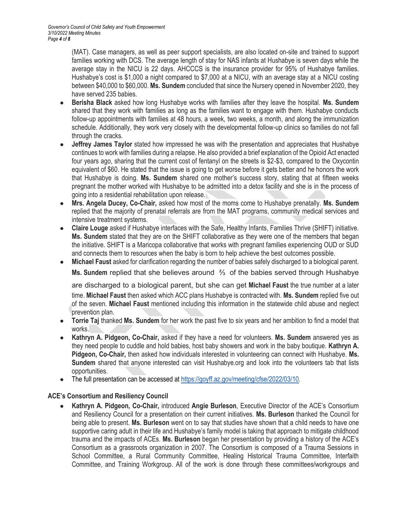(MAT). Case managers, as well as peer support specialists, are also located on-site and trained to support families working with DCS. The average length of stay for NAS infants at Hushabye is seven days while the average stay in the NICU is 22 days. AHCCCS is the insurance provider for 95% of Hushabye families. Hushabye's cost is \$1,000 a night compared to \$7,000 at a NICU, with an average stay at a NICU costing between \$40,000 to \$60,000. **Ms. Sundem** concluded that since the Nursery opened in November 2020, they have served 235 babies.

- **Berisha Black** asked how long Hushabye works with families after they leave the hospital. **Ms. Sundem** shared that they work with families as long as the families want to engage with them. Hushabye conducts follow-up appointments with families at 48 hours, a week, two weeks, a month, and along the immunization schedule. Additionally, they work very closely with the developmental follow-up clinics so families do not fall through the cracks.
- **Jeffrey James Taylor** stated how impressed he was with the presentation and appreciates that Hushabye continues to work with families during a relapse. He also provided a brief explanation of the Opioid Act enacted four years ago, sharing that the current cost of fentanyl on the streets is \$2-\$3, compared to the Oxycontin equivalent of \$60. He stated that the issue is going to get worse before it gets better and he honors the work that Hushabye is doing. **Ms. Sundem** shared one mother's success story, stating that at fifteen weeks pregnant the mother worked with Hushabye to be admitted into a detox facility and she is in the process of going into a residential rehabilitation upon release.
- **Mrs. Angela Ducey, Co-Chair,** asked how most of the moms come to Hushabye prenatally. **Ms. Sundem** replied that the majority of prenatal referrals are from the MAT programs, community medical services and intensive treatment systems.
- **Claire Louge** asked if Hushabye interfaces with the Safe, Healthy Infants, Families Thrive (SHIFT) initiative. **Ms. Sundem** stated that they are on the SHIFT collaborative as they were one of the members that began the initiative. SHIFT is a Maricopa collaborative that works with pregnant families experiencing OUD or SUD and connects them to resources when the baby is born to help achieve the best outcomes possible.
- **Michael Faust** asked for clarification regarding the number of babies safely discharged to a biological parent. **Ms. Sundem** replied that she believes around ⅔ of the babies served through Hushabye

are discharged to a biological parent, but she can get **Michael Faust** the true number at a later time. **Michael Faust** then asked which ACC plans Hushabye is contracted with. **Ms. Sundem** replied five out of the seven. **Michael Faust** mentioned including this information in the statewide child abuse and neglect prevention plan.

- **Torrie Taj** thanked **Ms. Sundem** for her work the past five to six years and her ambition to find a model that works.
- **Kathryn A. Pidgeon, Co-Chair,** asked if they have a need for volunteers. **Ms. Sundem** answered yes as they need people to cuddle and hold babies, host baby showers and work in the baby boutique. **Kathryn A. Pidgeon, Co-Chair,** then asked how individuals interested in volunteering can connect with Hushabye. **Ms. Sundem** shared that anyone interested can visit Hushabye.org and look into the volunteers tab that lists opportunities.
- The full presentation can be accessed a[t https://goyff.az.gov/meeting/cfse/2022/03/10.](https://goyff.az.gov/meeting/cfse/2022/03/10)

# **ACE's Consortium and Resiliency Council**

● **Kathryn A. Pidgeon, Co-Chair,** introduced **Angie Burleson**, Executive Director of the ACE's Consortium and Resiliency Council for a presentation on their current initiatives. **Ms. Burleson** thanked the Council for being able to present. **Ms. Burleson** went on to say that studies have shown that a child needs to have one supportive caring adult in their life and Hushabye's family model is taking that approach to mitigate childhood trauma and the impacts of ACEs. **Ms. Burleson** began her presentation by providing a history of the ACE's Consortium as a grassroots organization in 2007. The Consortium is composed of a Trauma Sessions in School Committee, a Rural Community Committee, Healing Historical Trauma Committee, Interfaith Committee, and Training Workgroup. All of the work is done through these committees/workgroups and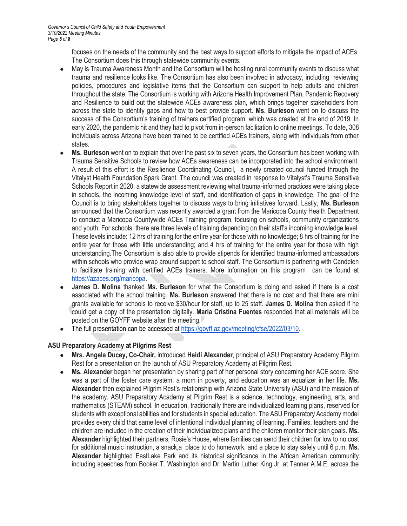focuses on the needs of the community and the best ways to support efforts to mitigate the impact of ACEs. The Consortium does this through statewide community events.

- May is Trauma Awareness Month and the Consortium will be hosting rural community events to discuss what trauma and resilience looks like. The Consortium has also been involved in advocacy, including reviewing policies, procedures and legislative items that the Consortium can support to help adults and children throughout the state. The Consortium is working with Arizona Health Improvement Plan, Pandemic Recovery and Resilience to build out the statewide ACEs awareness plan, which brings together stakeholders from across the state to identify gaps and how to best provide support. **Ms. Burleson** went on to discuss the success of the Consortium's training of trainers certified program, which was created at the end of 2019. In early 2020, the pandemic hit and they had to pivot from in-person facilitation to online meetings. To date, 308 individuals across Arizona have been trained to be certified ACEs trainers, along with individuals from other states.
- **Ms. Burleson** went on to explain that over the past six to seven years, the Consortium has been working with Trauma Sensitive Schools to review how ACEs awareness can be incorporated into the school environment. A result of this effort is the Resilience Coordinating Council, a newly created council funded through the Vitalyst Health Foundation Spark Grant. The council was created in response to Vitalyst's Trauma Sensitive Schools Report in 2020, a statewide assessment reviewing what trauma-informed practices were taking place in schools, the incoming knowledge level of staff, and identification of gaps in knowledge. The goal of the Council is to bring stakeholders together to discuss ways to bring initiatives forward. Lastly, **Ms. Burleson**  announced that the Consortium was recently awarded a grant from the Maricopa County Health Department to conduct a Maricopa Countywide ACEs Training program, focusing on schools, community organizations and youth. For schools, there are three levels of training depending on their staff's incoming knowledge level. These levels include: 12 hrs of training for the entire year for those with no knowledge; 8 hrs of training for the entire year for those with little understanding; and 4 hrs of training for the entire year for those with high understanding.The Consortium is also able to provide stipends for identified trauma-informed ambassadors within schools who provide wrap around support to school staff. The Consortium is partnering with Candelen to facilitate training with certified ACEs trainers. More information on this program can be found at [https://azaces.org/maricopa.](https://azaces.org/maricopa)
- **James D. Molina** thanked **Ms. Burleson** for what the Consortium is doing and asked if there is a cost associated with the school training. **Ms. Burleson** answered that there is no cost and that there are mini grants available for schools to receive \$30/hour for staff, up to 25 staff. **James D. Molina** then asked if he could get a copy of the presentation digitally. **Maria Cristina Fuentes** responded that all materials will be posted on the GOYFF website after the meeting.
- The full presentation can be accessed a[t https://goyff.az.gov/meeting/cfse/2022/03/10.](https://goyff.az.gov/meeting/cfse/2022/03/10)

## **ASU Preparatory Academy at Pilgrims Rest**

- **Mrs. Angela Ducey, Co-Chair,** introduced **Heidi Alexander**, principal of ASU Preparatory Academy Pilgrim Rest for a presentation on the launch of ASU Preparatory Academy at Pilgrim Rest.
- Ms. Alexander began her presentation by sharing part of her personal story concerning her ACE score. She was a part of the foster care system, a mom in poverty, and education was an equalizer in her life. **Ms. Alexander** then explained Pilgrim Rest's relationship with Arizona State University (ASU) and the mission of the academy. ASU Preparatory Academy at Pilgrim Rest is a science, technology, engineering, arts, and mathematics (STEAM) school. In education, traditionally there are individualized learning plans, reserved for students with exceptional abilities and for students in special education. The ASU Preparatory Academy model provides every child that same level of intentional individual planning of learning. Families, teachers and the children are included in the creation of their individualized plans and the children monitor their plan goals. **Ms. Alexander** highlighted their partners, Rosie's House, where families can send their children for low to no cost for additional music instruction, a snack,a place to do homework, and a place to stay safely until 6 p.m. **Ms. Alexander** highlighted EastLake Park and its historical significance in the African American community including speeches from Booker T. Washington and Dr. Martin Luther King Jr. at Tanner A.M.E. across the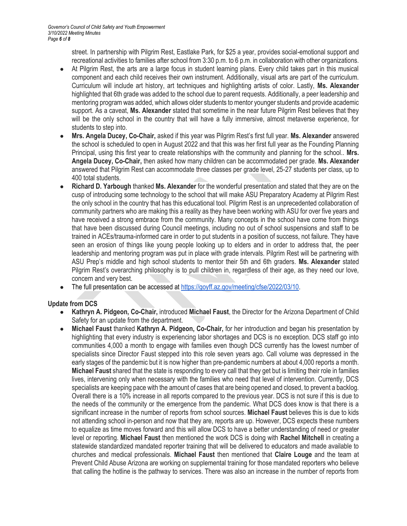street. In partnership with Pilgrim Rest, Eastlake Park, for \$25 a year, provides social-emotional support and recreational activities to families after school from 3:30 p.m. to 6 p.m. in collaboration with other organizations.

- At Pilgrim Rest, the arts are a large focus in student learning plans. Every child takes part in this musical component and each child receives their own instrument. Additionally, visual arts are part of the curriculum. Curriculum will include art history, art techniques and highlighting artists of color. Lastly, **Ms. Alexander**  highlighted that 6th grade was added to the school due to parent requests. Additionally, a peer leadership and mentoring program was added, which allows older students to mentor younger students and provide academic support. As a caveat, **Ms. Alexander** stated that sometime in the near future Pilgrim Rest believes that they will be the only school in the country that will have a fully immersive, almost metaverse experience, for students to step into.
- **Mrs. Angela Ducey, Co-Chair,** asked if this year was Pilgrim Rest's first full year. **Ms. Alexander** answered the school is scheduled to open in August 2022 and that this was her first full year as the Founding Planning Principal, using this first year to create relationships with the community and planning for the school.. **Mrs. Angela Ducey, Co-Chair,** then asked how many children can be accommodated per grade. **Ms. Alexander** answered that Pilgrim Rest can accommodate three classes per grade level, 25-27 students per class, up to 400 total students.
- **Richard D. Yarbough** thanked **Ms. Alexander** for the wonderful presentation and stated that they are on the cusp of introducing some technology to the school that will make ASU Preparatory Academy at Pilgrim Rest the only school in the country that has this educational tool. Pilgrim Rest is an unprecedented collaboration of community partners who are making this a reality as they have been working with ASU for over five years and have received a strong embrace from the community. Many concepts in the school have come from things that have been discussed during Council meetings, including no out of school suspensions and staff to be trained in ACEs/trauma-informed care in order to put students in a position of success, not failure. They have seen an erosion of things like young people looking up to elders and in order to address that, the peer leadership and mentoring program was put in place with grade intervals. Pilgrim Rest will be partnering with ASU Prep's middle and high school students to mentor their 5th and 6th graders. **Ms. Alexander** stated Pilgrim Rest's overarching philosophy is to pull children in, regardless of their age, as they need our love, concern and very best.
- The full presentation can be accessed a[t https://goyff.az.gov/meeting/cfse/2022/03/10.](https://goyff.az.gov/meeting/cfse/2022/03/10)

## **Update from DCS**

- **Kathryn A. Pidgeon, Co-Chair,** introduced **Michael Faust**, the Director for the Arizona Department of Child Safety for an update from the department.
- **Michael Faust** thanked **Kathryn A. Pidgeon, Co-Chair,** for her introduction and began his presentation by highlighting that every industry is experiencing labor shortages and DCS is no exception. DCS staff go into communities 4,000 a month to engage with families even though DCS currently has the lowest number of specialists since Director Faust stepped into this role seven years ago. Call volume was depressed in the early stages of the pandemic but it is now higher than pre-pandemic numbers at about 4,000 reports a month. **Michael Faust** shared that the state is responding to every call that they get but is limiting their role in families lives, intervening only when necessary with the families who need that level of intervention. Currently, DCS specialists are keeping pace with the amount of cases that are being opened and closed, to prevent a backlog. Overall there is a 10% increase in all reports compared to the previous year. DCS is not sure if this is due to the needs of the community or the emergence from the pandemic. What DCS does know is that there is a significant increase in the number of reports from school sources. **Michael Faust** believes this is due to kids not attending school in-person and now that they are, reports are up. However, DCS expects these numbers to equalize as time moves forward and this will allow DCS to have a better understanding of need or greater level or reporting. **Michael Faust** then mentioned the work DCS is doing with **Rachel Mitchell** in creating a statewide standardized mandated reporter training that will be delivered to educators and made available to churches and medical professionals. **Michael Faust** then mentioned that **Claire Louge** and the team at Prevent Child Abuse Arizona are working on supplemental training for those mandated reporters who believe that calling the hotline is the pathway to services. There was also an increase in the number of reports from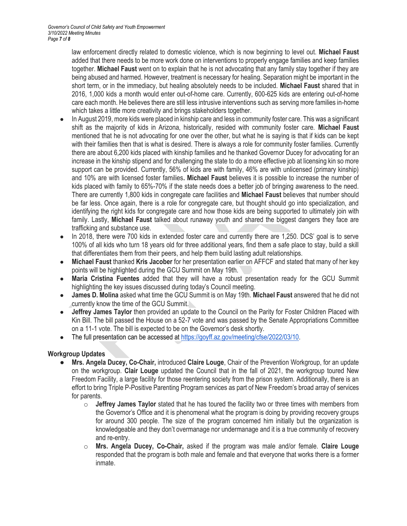law enforcement directly related to domestic violence, which is now beginning to level out. **Michael Faust** added that there needs to be more work done on interventions to properly engage families and keep families together. **Michael Faust** went on to explain that he is not advocating that any family stay together if they are being abused and harmed. However, treatment is necessary for healing. Separation might be important in the short term, or in the immediacy, but healing absolutely needs to be included. **Michael Faust** shared that in 2016, 1,000 kids a month would enter out-of-home care. Currently, 600-625 kids are entering out-of-home care each month. He believes there are still less intrusive interventions such as serving more families in-home which takes a little more creativity and brings stakeholders together.

- In August 2019, more kids were placed in kinship care and less in community foster care. This was a significant shift as the majority of kids in Arizona, historically, resided with community foster care. **Michael Faust**  mentioned that he is not advocating for one over the other, but what he is saying is that if kids can be kept with their families then that is what is desired. There is always a role for community foster families. Currently there are about 6,200 kids placed with kinship families and he thanked Governor Ducey for advocating for an increase in the kinship stipend and for challenging the state to do a more effective job at licensing kin so more support can be provided. Currently, 56% of kids are with family, 46% are with unlicensed (primary kinship) and 10% are with licensed foster families**. Michael Faust** believes it is possible to increase the number of kids placed with family to 65%-70% if the state needs does a better job of bringing awareness to the need. There are currently 1,800 kids in congregate care facilities and **Michael Faust** believes that number should be far less. Once again, there is a role for congregate care, but thought should go into specialization, and identifying the right kids for congregate care and how those kids are being supported to ultimately join with family. Lastly, **Michael Faust** talked about runaway youth and shared the biggest dangers they face are trafficking and substance use.
- In 2018, there were 700 kids in extended foster care and currently there are 1,250. DCS' goal is to serve 100% of all kids who turn 18 years old for three additional years, find them a safe place to stay, build a skill that differentiates them from their peers, and help them build lasting adult relationships.
- **Michael Faust** thanked **Kris Jacober** for her presentation earlier on AFFCF and stated that many of her key points will be highlighted during the GCU Summit on May 19th.
- **Maria Cristina Fuentes** added that they will have a robust presentation ready for the GCU Summit highlighting the key issues discussed during today's Council meeting.
- **James D. Molina** asked what time the GCU Summit is on May 19th. **Michael Faust** answered that he did not currently know the time of the GCU Summit.
- **Jeffrey James Taylor** then provided an update to the Council on the Parity for Foster Children Placed with Kin Bill. The bill passed the House on a 52-7 vote and was passed by the Senate Appropriations Committee on a 11-1 vote. The bill is expected to be on the Governor's desk shortly.
- The full presentation can be accessed a[t https://goyff.az.gov/meeting/cfse/2022/03/10.](https://goyff.az.gov/meeting/cfse/2022/03/10)

## **Workgroup Updates**

- **Mrs. Angela Ducey, Co-Chair,** introduced **Claire Louge**, Chair of the Prevention Workgroup, for an update on the workgroup. **Clair Louge** updated the Council that in the fall of 2021, the workgroup toured New Freedom Facility, a large facility for those reentering society from the prison system. Additionally, there is an effort to bring Triple P-Positive Parenting Program services as part of New Freedom's broad array of services for parents.
	- o **Jeffrey James Taylor** stated that he has toured the facility two or three times with members from the Governor's Office and it is phenomenal what the program is doing by providing recovery groups for around 300 people. The size of the program concerned him initially but the organization is knowledgeable and they don't overmanage nor undermanage and it is a true community of recovery and re-entry.
	- o **Mrs. Angela Ducey, Co-Chair,** asked if the program was male and/or female. **Claire Louge** responded that the program is both male and female and that everyone that works there is a former inmate.